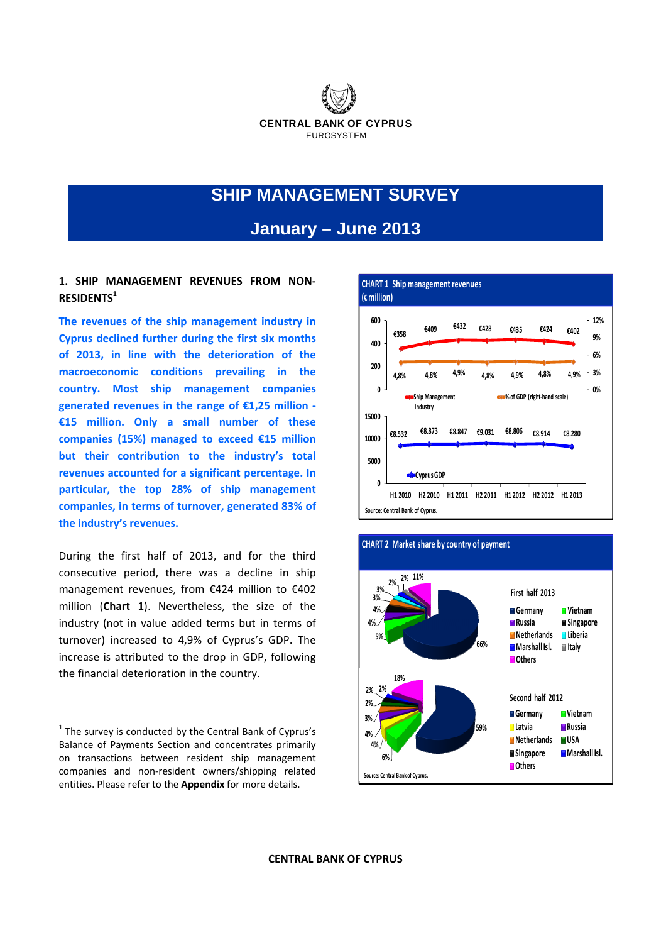

# **SHIP MANAGEMENT SURVEY**

## **January – June 2013**

### **1. SHIP MANAGEMENT REVENUES FROM NON‐ RESIDENTS1**

**The revenues of the ship management industry in Cyprus declined further during the first six months of 2013, in line with the deterioration of the macroeconomic conditions prevailing in the country. Most ship management companies generated revenues in the range of €1,25 million ‐ €15 million. Only a small number of these companies (15%) managed to exceed €15 million but their contribution to the industry's total revenues accounted for a significant percentage. In particular, the top 28% of ship management companies, in terms of turnover, generated 83% of the industry's revenues.** 

During the first half of 2013, and for the third consecutive period, there was a decline in ship management revenues, from €424 million to €402 million (**Chart 1**). Nevertheless, the size of the industry (not in value added terms but in terms of turnover) increased to 4,9% of Cyprus's GDP. The increase is attributed to the drop in GDP, following the financial deterioration in the country.





 $1$  The survey is conducted by the Central Bank of Cyprus's Balance of Payments Section and concentrates primarily on transactions between resident ship management companies and non‐resident owners/shipping related entities. Please refer to the **Appendix** for more details.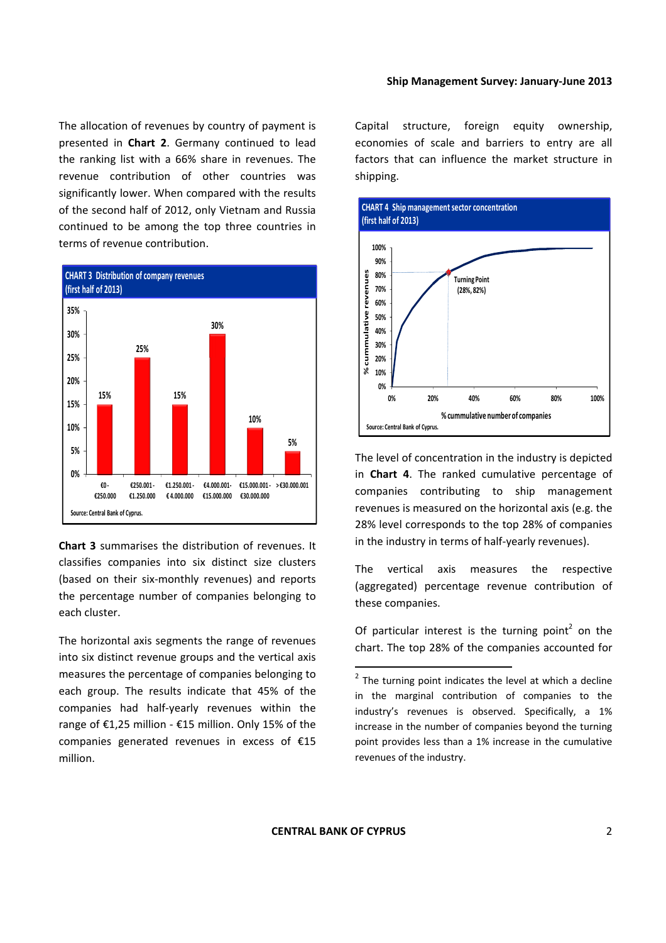The allocation of revenues by country of payment is presented in **Chart 2**. Germany continued to lead the ranking list with a 66% share in revenues. The revenue contribution of other countries was significantly lower. When compared with the results of the second half of 2012, only Vietnam and Russia continued to be among the top three countries in terms of revenue contribution.



**Chart 3** summarises the distribution of revenues. It classifies companies into six distinct size clusters (based on their six‐monthly revenues) and reports the percentage number of companies belonging to each cluster.

The horizontal axis segments the range of revenues into six distinct revenue groups and the vertical axis measures the percentage of companies belonging to each group. The results indicate that 45% of the companies had half‐yearly revenues within the range of €1,25 million ‐ €15 million. Only 15% of the companies generated revenues in excess of €15 million.

Capital structure, foreign equity ownership, economies of scale and barriers to entry are all factors that can influence the market structure in shipping.



The level of concentration in the industry is depicted in **Chart 4**. The ranked cumulative percentage of companies contributing to ship management revenues is measured on the horizontal axis (e.g. the 28% level corresponds to the top 28% of companies in the industry in terms of half‐yearly revenues).

The vertical axis measures the respective (aggregated) percentage revenue contribution of these companies.

Of particular interest is the turning point<sup>2</sup> on the chart. The top 28% of the companies accounted for

 $2$  The turning point indicates the level at which a decline in the marginal contribution of companies to the industry's revenues is observed. Specifically, a 1% increase in the number of companies beyond the turning point provides less than a 1% increase in the cumulative revenues of the industry.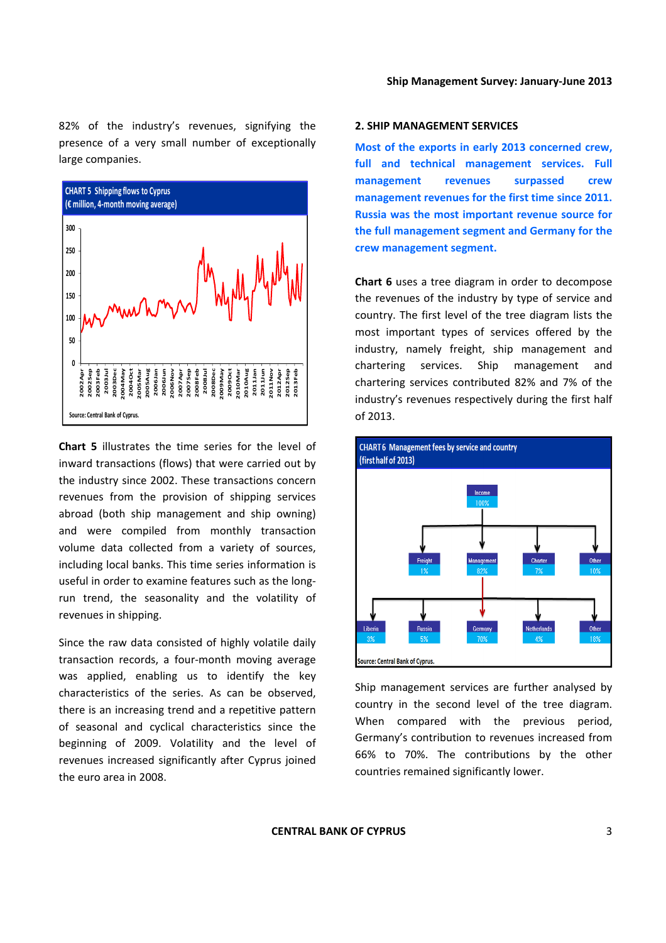82% of the industry's revenues, signifying the presence of a very small number of exceptionally large companies.



**Chart 5** illustrates the time series for the level of inward transactions (flows) that were carried out by the industry since 2002. These transactions concern revenues from the provision of shipping services abroad (both ship management and ship owning) and were compiled from monthly transaction volume data collected from a variety of sources, including local banks. This time series information is useful in order to examine features such as the long‐ run trend, the seasonality and the volatility of revenues in shipping.

Since the raw data consisted of highly volatile daily transaction records, a four‐month moving average was applied, enabling us to identify the key characteristics of the series. As can be observed, there is an increasing trend and a repetitive pattern of seasonal and cyclical characteristics since the beginning of 2009. Volatility and the level of revenues increased significantly after Cyprus joined the euro area in 2008.

#### **2. SHIP MANAGEMENT SERVICES**

**Most of the exports in early 2013 concerned crew, full and technical management services. Full management revenues surpassed crew management revenues for the first time since 2011. Russia was the most important revenue source for the full management segment and Germany for the crew management segment.**

**Chart 6** uses a tree diagram in order to decompose the revenues of the industry by type of service and country. The first level of the tree diagram lists the most important types of services offered by the industry, namely freight, ship management and chartering services. Ship management and chartering services contributed 82% and 7% of the industry's revenues respectively during the first half of 2013.



Ship management services are further analysed by country in the second level of the tree diagram. When compared with the previous period, Germany's contribution to revenues increased from 66% to 70%. The contributions by the other countries remained significantly lower.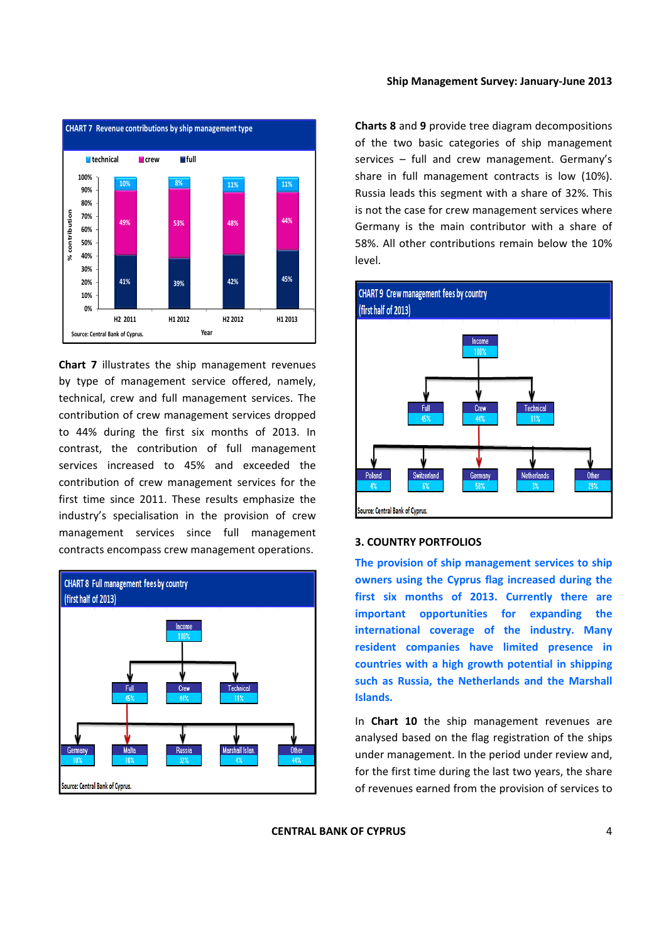

**Chart 7** illustrates the ship management revenues by type of management service offered, namely, technical, crew and full management services. The contribution of crew management services dropped to 44% during the first six months of 2013. In contrast, the contribution of full management services increased to 45% and exceeded the contribution of crew management services for the first time since 2011. These results emphasize the industry's specialisation in the provision of crew management services since full management contracts encompass crew management operations.



#### **Ship Management Survey: January‐June 2013**

**Charts 8** and **9** provide tree diagram decompositions of the two basic categories of ship management services – full and crew management. Germany's share in full management contracts is low (10%). Russia leads this segment with a share of 32%. This is not the case for crew management services where Germany is the main contributor with a share of 58%. All other contributions remain below the 10% level.



#### **3. COUNTRY PORTFOLIOS**

**The provision of ship management services to ship owners using the Cyprus flag increased during the first six months of 2013. Currently there are important opportunities for expanding the international coverage of the industry. Many resident companies have limited presence in countries with a high growth potential in shipping such as Russia, the Netherlands and the Marshall Islands.**

In **Chart 10** the ship management revenues are analysed based on the flag registration of the ships under management. In the period under review and, for the first time during the last two years, the share of revenues earned from the provision of services to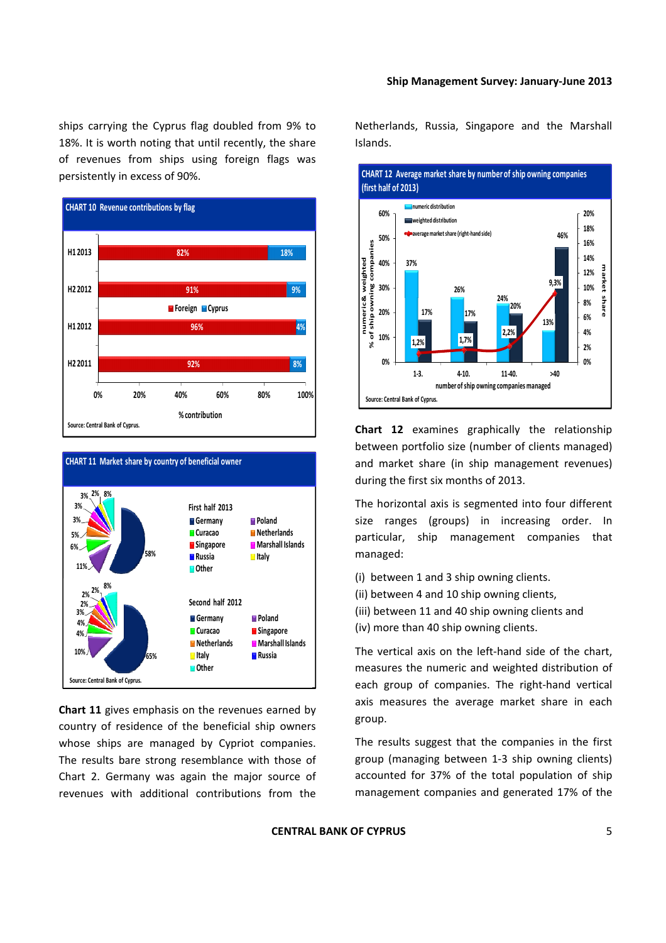ships carrying the Cyprus flag doubled from 9% to 18%. It is worth noting that until recently, the share of revenues from ships using foreign flags was persistently in excess of 90%.





**Chart 11** gives emphasis on the revenues earned by country of residence of the beneficial ship owners whose ships are managed by Cypriot companies. The results bare strong resemblance with those of Chart 2. Germany was again the major source of revenues with additional contributions from the Netherlands, Russia, Singapore and the Marshall Islands.



**Chart 12** examines graphically the relationship between portfolio size (number of clients managed) and market share (in ship management revenues) during the first six months of 2013.

The horizontal axis is segmented into four different size ranges (groups) in increasing order. In particular, ship management companies that managed:

- (i) between 1 and 3 ship owning clients.
- (ii) between 4 and 10 ship owning clients,
- (iii) between 11 and 40 ship owning clients and (iv) more than 40 ship owning clients.

The vertical axis on the left-hand side of the chart, measures the numeric and weighted distribution of each group of companies. The right‐hand vertical axis measures the average market share in each group.

The results suggest that the companies in the first group (managing between 1‐3 ship owning clients) accounted for 37% of the total population of ship management companies and generated 17% of the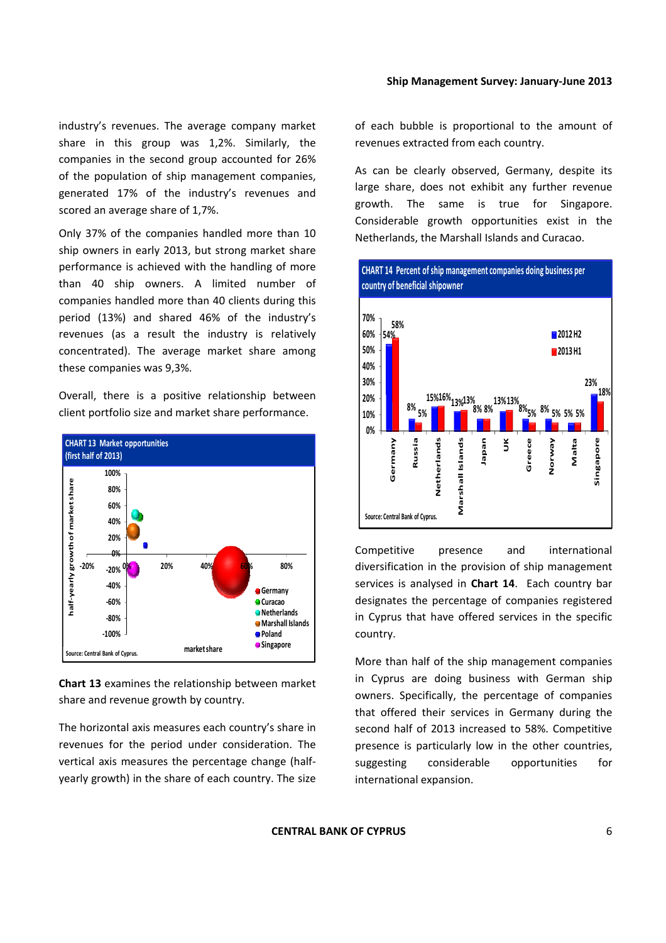industry's revenues. The average company market share in this group was 1,2%. Similarly, the companies in the second group accounted for 26% of the population of ship management companies, generated 17% of the industry's revenues and scored an average share of 1,7%.

Only 37% of the companies handled more than 10 ship owners in early 2013, but strong market share performance is achieved with the handling of more than 40 ship owners. A limited number of companies handled more than 40 clients during this period (13%) and shared 46% of the industry's revenues (as a result the industry is relatively concentrated). The average market share among these companies was 9,3%.

Overall, there is a positive relationship between client portfolio size and market share performance.



**Chart 13** examines the relationship between market share and revenue growth by country.

The horizontal axis measures each country's share in revenues for the period under consideration. The vertical axis measures the percentage change (half‐ yearly growth) in the share of each country. The size of each bubble is proportional to the amount of revenues extracted from each country.

As can be clearly observed, Germany, despite its large share, does not exhibit any further revenue growth. The same is true for Singapore. Considerable growth opportunities exist in the Netherlands, the Marshall Islands and Curacao.



Competitive presence and international diversification in the provision of ship management services is analysed in **Chart 14**. Each country bar designates the percentage of companies registered in Cyprus that have offered services in the specific country.

More than half of the ship management companies in Cyprus are doing business with German ship owners. Specifically, the percentage of companies that offered their services in Germany during the second half of 2013 increased to 58%. Competitive presence is particularly low in the other countries, suggesting considerable opportunities for international expansion.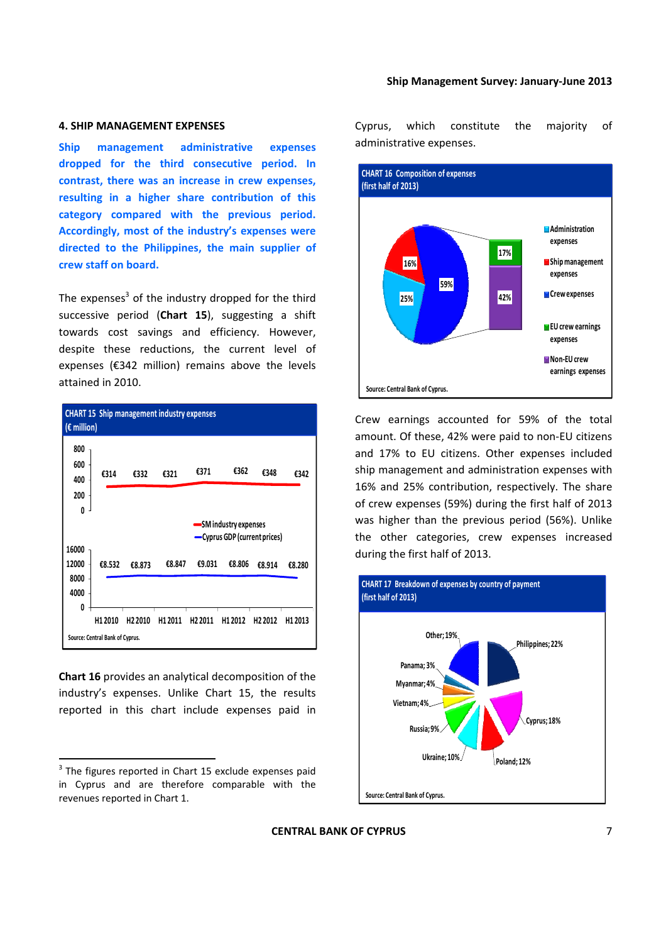#### **4. SHIP MANAGEMENT EXPENSES**

**Ship management administrative expenses dropped for the third consecutive period. In contrast, there was an increase in crew expenses, resulting in a higher share contribution of this category compared with the previous period. Accordingly, most of the industry's expenses were directed to the Philippines, the main supplier of crew staff on board.**

The expenses $3$  of the industry dropped for the third successive period (**Chart 15**), suggesting a shift towards cost savings and efficiency. However, despite these reductions, the current level of expenses (€342 million) remains above the levels attained in 2010.

| <b>CHART 15 Ship management industry expenses</b><br>$(\epsilon$ million) |                                                      |                     |         |                     |                     |                     |                     |
|---------------------------------------------------------------------------|------------------------------------------------------|---------------------|---------|---------------------|---------------------|---------------------|---------------------|
| 800<br>600<br>400                                                         | €314                                                 | £332                | €321    | €371                | €362                | €348                | €342                |
| 200<br>0                                                                  |                                                      |                     |         |                     |                     |                     |                     |
|                                                                           | SM industry expenses<br>-Cyprus GDP (current prices) |                     |         |                     |                     |                     |                     |
| 16000<br>12000<br>8000                                                    | €8.532                                               | €8.873              | €8.847  | €9.031              | €8.806              | €8.914              | €8.280              |
| 4000<br>0                                                                 |                                                      |                     |         |                     |                     |                     |                     |
|                                                                           | H12010<br>Source: Central Bank of Cyprus.            | H <sub>2</sub> 2010 | H1 2011 | H <sub>2</sub> 2011 | H <sub>1</sub> 2012 | H <sub>2</sub> 2012 | H <sub>1</sub> 2013 |

**Chart 16** provides an analytical decomposition of the industry's expenses. Unlike Chart 15, the results reported in this chart include expenses paid in

Cyprus, which constitute the majority of administrative expenses.



Crew earnings accounted for 59% of the total amount. Of these, 42% were paid to non‐EU citizens and 17% to EU citizens. Other expenses included ship management and administration expenses with 16% and 25% contribution, respectively. The share of crew expenses (59%) during the first half of 2013 was higher than the previous period (56%). Unlike the other categories, crew expenses increased during the first half of 2013.



 $3$  The figures reported in Chart 15 exclude expenses paid in Cyprus and are therefore comparable with the revenues reported in Chart 1.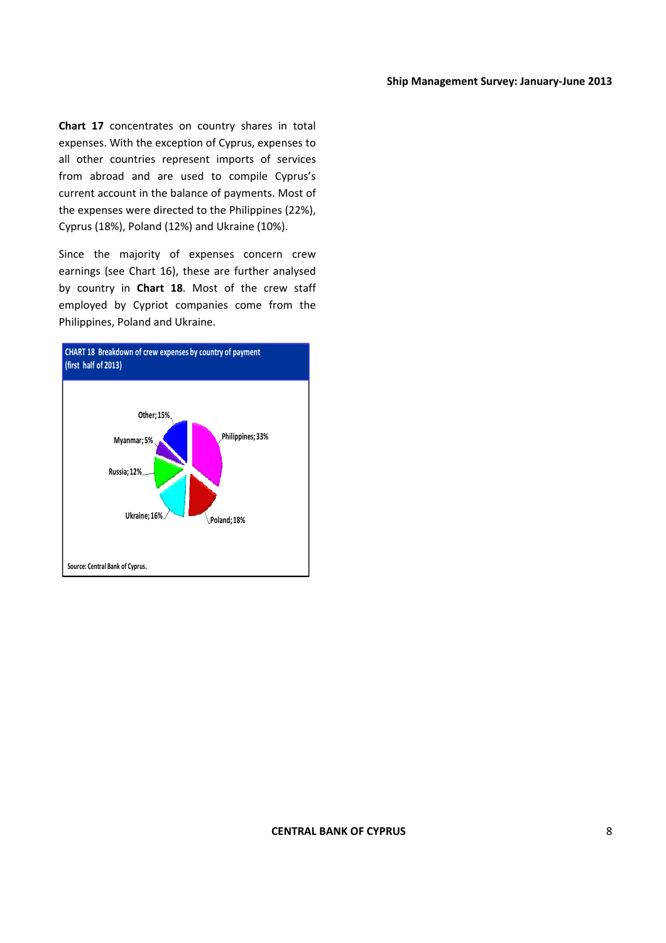**Chart 17** concentrates on country shares in total expenses. With the exception of Cyprus, expenses to all other countries represent imports of services from abroad and are used to compile Cyprus's current account in the balance of payments. Most of the expenses were directed to the Philippines (22%), Cyprus (18%), Poland (12%) and Ukraine (10%).

Since the majority of expenses concern crew earnings (see Chart 16), these are further analysed by country in **Chart 18**. Most of the crew staff employed by Cypriot companies come from the Philippines, Poland and Ukraine.